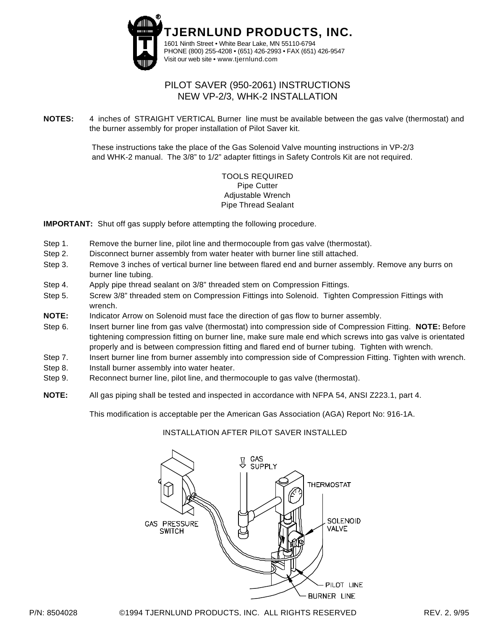

# PILOT SAVER (950-2061) INSTRUCTIONS NEW VP-2/3, WHK-2 INSTALLATION

**NOTES:** 4 inches of STRAIGHT VERTICAL Burner line must be available between the gas valve (thermostat) and the burner assembly for proper installation of Pilot Saver kit.

> These instructions take the place of the Gas Solenoid Valve mounting instructions in VP-2/3 and WHK-2 manual. The 3/8" to 1/2" adapter fittings in Safety Controls Kit are not required.

### TOOLS REQUIRED Pipe Cutter Adjustable Wrench Pipe Thread Sealant

**IMPORTANT:** Shut off gas supply before attempting the following procedure.

- Step 1. Remove the burner line, pilot line and thermocouple from gas valve (thermostat).
- Step 2. Disconnect burner assembly from water heater with burner line still attached.
- Step 3. Remove 3 inches of vertical burner line between flared end and burner assembly. Remove any burrs on burner line tubing.
- Step 4. Apply pipe thread sealant on 3/8" threaded stem on Compression Fittings.
- Step 5. Screw 3/8" threaded stem on Compression Fittings into Solenoid. Tighten Compression Fittings with wrench.
- **NOTE:** Indicator Arrow on Solenoid must face the direction of gas flow to burner assembly.
- Step 6. Insert burner line from gas valve (thermostat) into compression side of Compression Fitting. **NOTE:** Before tightening compression fitting on burner line, make sure male end which screws into gas valve is orientated properly and is between compression fitting and flared end of burner tubing. Tighten with wrench.
- Step 7. Insert burner line from burner assembly into compression side of Compression Fitting. Tighten with wrench.
- Step 8. Install burner assembly into water heater.
- Step 9. Reconnect burner line, pilot line, and thermocouple to gas valve (thermostat).
- **NOTE:** All gas piping shall be tested and inspected in accordance with NFPA 54, ANSI Z223.1, part 4.

This modification is acceptable per the American Gas Association (AGA) Report No: 916-1A.

#### INSTALLATION AFTER PILOT SAVER INSTALLED